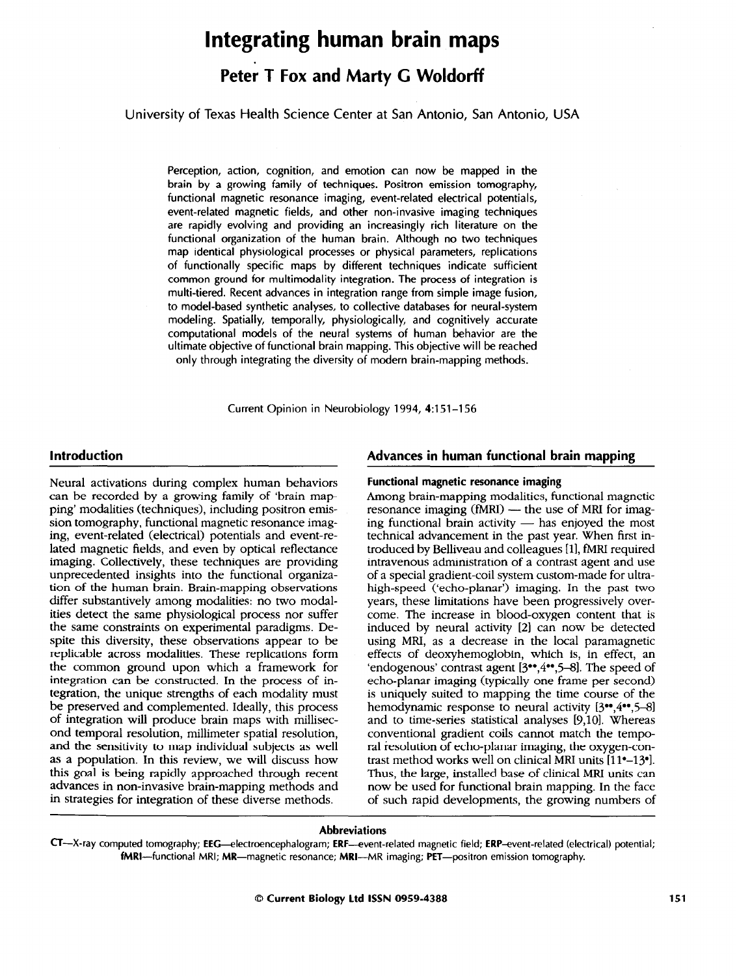# **Integrating human brain maps**

# **Peter T Fox and Marty G Woldorff**

# **University of Texas Health Science Center at San Antonio, San Antonio, USA**

**Perception, action, cognition, and emotion can now be mapped in the brain by a growing family of techniques. Positron emission tomography, functional magnetic resonance imaging, event-related electrical potentials, event-related magnetic fields, and other non-invasive imaging techniques are rapidly evolving and providing an increasingly rich literature on the functional organization of the human brain. Although no two techniques map identical physiological processes or physical parameters, replications of functionally specific maps by different techniques indicate sufficient common ground for multimodality integration. The process of integration is multi-tiered. Recent advances in integration range from simple image fusion, to model-based synthetic analyses, to collective databases for neural-system modeling. Spatially, temporally, physiologically, and cognitively accurate computational models of the neural systems of human behavior are the ultimate objective of functional brain mapping. This objective will be reached only through integrating the diversity of modern brain-mapping methods.** 

**Current Opinion in Neurobiology 1994, 4:151-l 56** 

Neural activations during complex human behaviors can be recorded by a growing family of 'brain mapping' modalities (techniques), including positron emission tomography, functional magnetic resonance imaging, event-related (electrical) potentials and event-related magnetic fields, and even by optical reflectance imaging. Collectively, these techniques are providing unprecedented insights into the functional organization of the human brain. Brain-mapping observations differ substantively among modalities: no two modalities detect the same physiological process nor suffer the same constraints on experimental paradigms. Despite this diversity, these observations appear to be replicable across modalities. These replications form the common ground upon which a framework for integration can be constructed. In the process of integration, the unique strengths of each modality must be preserved and complemented. Ideally, this process of integration will produce brain maps with millisecond temporal resolution, millimeter spatial resolution, and the sensitivity to map individual subjects as well as a population. In this review, we will discuss how this goal is being rapidly approached through recent advances in non-invasive brain-mapping methods and in strategies for integration of these diverse methods.

# **Introduction Advances in human functional brain mapping**

#### **Functional magnetic resonance imaging**

Among brain-mapping modalities, functional magnetic resonance imaging  $(fMRI)$  — the use of MRI for imaging functional brain activity  $-$  has enjoyed the most technical advancement in the past year. When first introduced by Belliveau and colleagues [II, fMRI required intravenous administration of a contrast agent and use of a special gradient-coil system custom-made for ultrahigh-speed ('echo-planar') imaging. In the past two years, these limitations have been progressively overcome. The increase in blood-oxygen content that is induced by neural activity [2] can now be detected using MFU, as a decrease in the local paramagnetic effects of deoxyhemoglobin, which is, in effect, an 'endogenous' contrast agent **[3\*\*,4\*,5431.** The speed of echo-planar imaging (typically one frame per second) is uniquely suited to mapping the time course of the hemodynamic response to neural activity  $[3^{\bullet\bullet}, 4^{\bullet\bullet}, 5-8]$ and to time-series statistical analyses [9,10]. Whereas conventional gradient coils cannot match the temporal iesolution of echo-planar imaging, the oxygen-contrast method works well on clinical MRI units [11<sup>•</sup>-13<sup>•</sup>]. Thus, the large, installed base of clinical MRI units can now be used for functional brain mapping. In the face of such rapid developments, the growing numbers of

#### **Abbreviations**

**CT--X-ray computed tomography; EEC-electroencephalogram; ERF-event-related magnetic field; ERP-event-related (electrical) potential;**  fMRI-functional MRI; MR-magnetic resonance; MRI-MR imaging; PET-positron emission tomography.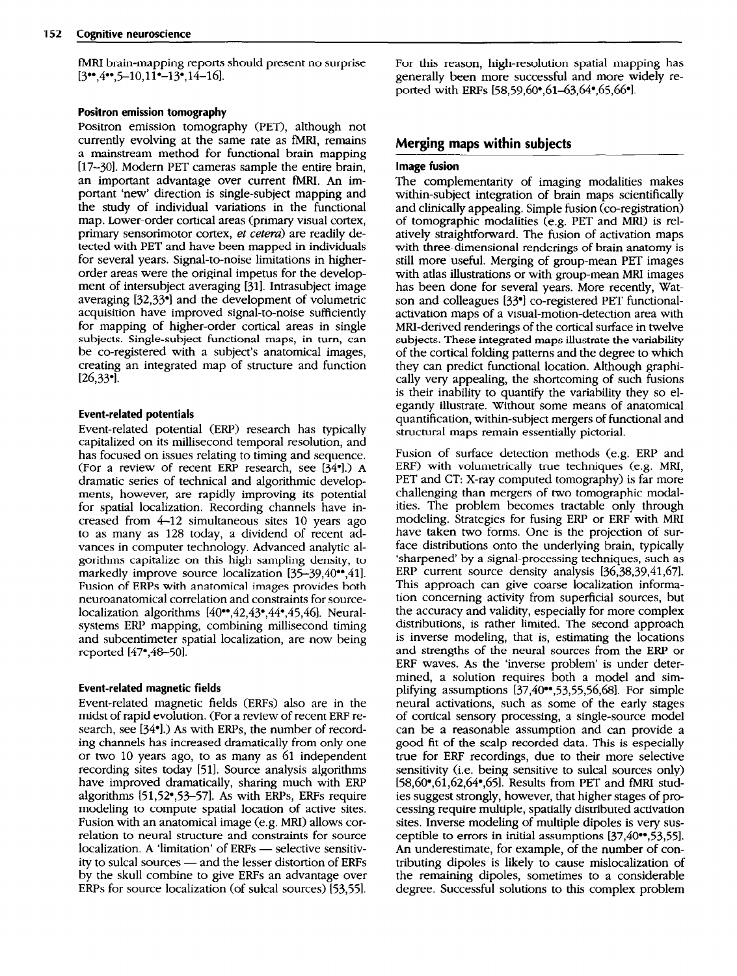fMRI brain-mapping reports should present no surprise  $[3^{\bullet\bullet}, 4^{\bullet\bullet}, 5{\text{\textendash}}-10, 11^{\bullet} {\text{\textendash}}-13^{\bullet}, 14{\text{\textendash}}-16].$ 

#### **Positron emission tomography**

Positron emission tomography (PET), although not currently evolving at the same rate as fMRI, remains a mainstream method for functional brain mapping 117-301. Modern PET cameras sample the entire brain, an important advantage over current fMRI. An important 'new' direction is single-subject mapping and the study of individual variations in the functional map. Lower-order cortical areas (primary visual cortex, primary sensorimotor cortex, *et cetera)* are readily detected with PET and have been mapped in individuals for several years. Signal-to-noise limitations in higherorder areas were the original impetus for the development of intersubject averaging [31]. Intrasubject image averaging [32,3Yl and the development of volumetric acquisition have improved signal-to-noise sufficiently for mapping of higher-order cortical areas in single subjects. Single-subject functional maps, in turn, can be co-registered with a subject's anatomical images, creating an integrated map of structure and function  $[26,33$ <sup>.</sup>].

#### **Event-related potentials**

Event-related potential (ERP) research has typically capitalized on its millisecond temporal resolution, and has focused on issues relating to timing and sequence. (For a review of recent ERP research, see  $[34^{\circ}]$ .) A dramatic series of technical and algorithmic developments, however, are rapidly improving its potential for spatial localization. Recording channels have increased from 4-12 simultaneous sites 10 years ago to as many as I28 today, a dividend of recent advances in computer technology. Advanced analytic algorithms capitalize on this high sampling density, to markedly improve source localization  $[35-39, 40 \bullet 41]$ . Fusion of ERPs with anatomical images provides both neuroanatomical correlation and constraints for sourcelocalization algorithms [40\*\*,42,43\*,44\*,45,46]. Neuralsystems ERP mapping, combining millisecond timing and subcentimeter spatial localization, are now being reported [47\*,48-50].

#### **Event-related magnetic fields**

Event-related magnetic fields (ERFs) also are in the midst of rapid evolution. (For a review of recent ERF research, see  $[34^{\circ}]$ .) As with ERPs, the number of recording channels has increased dramatically from only one or two 10 years ago, to as many as 61 independent recording sites today [51]. Source analysis algorithms have improved dramatically, sharing much with ERP algorithms [51,52\*,53-571. As with ERPs, ERFs require modeling to compute spatial location of active sites. Fusion with an anatomical image (e.g. MRI) allows correlation to neural structure and constraints for source localization. A 'limitation' of ERFs — selective sensitivity to sulcal sources — and the lesser distortion of ERFs by the skull combine to give ERFs an advantage over ERPs for source localization (of sulcal sources) [53,55]. For this reason, high-resolution spatial mapping has generally been more successful and more widely reported with ERFs 158,59,60\*,61-63,64',65,66'1.

# **Merging maps within subjects**

#### **Image fusion**

**The** complementarity of imaging modalities makes within-subject integration of brain maps scientifically and clinically appealing. Simple fusion (co-registration) of tomographic modalities (e.g. PET and MRI) is relatively straightforward. The fusion of activation maps with three-dimensional renderings of brain anatomy is still more useful. Merging of group-mean PET images with atlas illustrations or with group-mean MRI images has been done for several years. More recently, Watson and colleagues [33<sup>•</sup>] co-registered PET functionalactivation maps of a visual-motion-detection area with MRI-derived renderings of the cortical surface in twelve subjects. These integrated maps illustrate the variability of the cortical folding patterns and the degree to which they can predict functional location. Although graphically very appealing, the shortcoming of such fusions is their inability to quantify the variability they so elegantly illustrate. Without some means of anatomical quantification, within-subject mergers of functional and structural maps remain essentially pictorial.

Fusion of surface detection methods (e.g. ERP and ERF) with volumetrically true techniques (e.g. MRI, PET and CT: X-ray computed tomography) is far more challenging than mergers of two tomographic modalities. The problem becomes tractable only through modeling. Strategies for fusing ERP or ERF with MRI have taken two forms. One is the projection of surface distributions onto the underlying brain, typically 'sharpened' by a signal-processing techniques, such as ERP current source density analysis [36,38,39,41,67]. This approach can give coarse localization information concerning activity from superficial sources, but the accuracy and validity, especially for more complex distributions, is rather limited. The second approach is inverse modeling, that is, estimating the locations and strengths of the neural sources from the ERP or ERF waves. As the 'inverse problem' is under determined, a solution requires both a model and simplifying assumptions [37,40<sup>\*\*</sup>,53,55,56,68]. For simple neural activations, such as some of the early stages of cortical sensory processing, a single-source model can be a reasonable assumption and can provide a good fit of the scalp recorded data. This is especially true for ERF recordings, due to their more selective sensitivity (i.e. being sensitive to sulcal sources only)  $[58,60^{\circ},61,62,64^{\circ},65]$ . Results from PET and fMRI studies suggest strongly, however, that higher stages of processing require multiple, spatially distributed activation sites. Inverse modeling of multiple dipoles is very susceptible to errors in initial assumptions [37,40<sup>\*\*</sup>,53,55]. An underestimate, for example, of the number of contributing dipoles is likely to cause mislocalization of the remaining dipoles, sometimes to a considerable degree. Successful solutions to this complex problem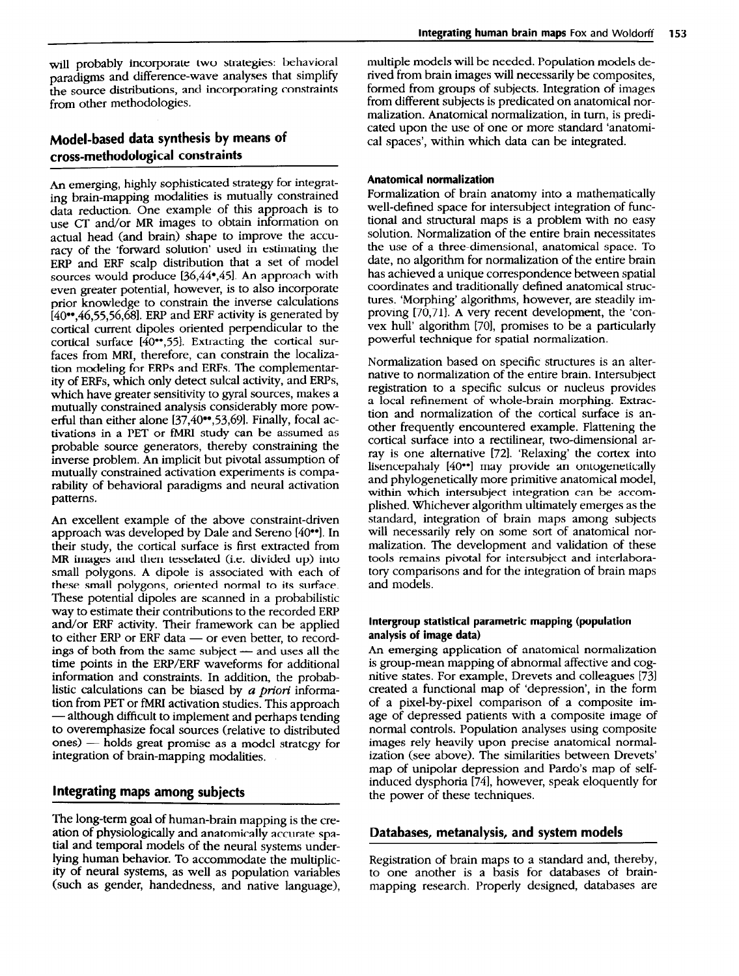will probably incorporate two strategies: behavioral paradigms and difference-wave analyses that simplify the source distributions, and incorporating constraints from other methodologies.

# **Model-based data synthesis by means of cross-methodological constraints**

**b emerging,** highly sophisticated strategy for integrating brain-mapping modalities is mutually constrained data reduction. One example of this approach is to use CT and/or MR images to obtain information on actual head (and brain) shape to improve the accuracy of the 'forward solution' used in estimating the ERP and ERF scalp distribution that a set of model sources would produce [36,44<sup>°</sup>,45]. An approach with even greater potential, however, is to also incorporate prior knowledge to constrain the inverse calculations [40\*\*,46,55,56,681. ERP and ERF activity is generated by cortical current dipoles oriented perpendicular to the cortical surface [40\*\*,551. Extracting the cortical surfaces from MRI, therefore, can constrain the localization modeling for ERPs and ERFs. The complementarity of ERFs, which only detect sulcal activity, and ERPs, which have greater sensitivity to gyral sources, makes a mutually constrained analysis considerably more powerful than either alone [37,40\*\*,53,69]. Finally, focal activations in a PET or fMRI study can be assumed as probable source generators, thereby constraining the inverse problem. An implicit but pivotal assumption of mutually constrained activation experiments is comparability of behavioral paradigms and neural activation patterns.

An excellent example of the above constraint-driven approach was developed by Dale and Sereno  $[40\bullet]$ . In their study, the cortical surface is first extracted from MR images and then tesselated (i.e. divided up) into small polygons. A dipole is associated with each of these small polygons, oriented normal to its surface. These potential dipoles are scanned in a probabilistic way to estimate their contributions to the recorded ERP and/or ERF activity. Their framework can be applied to either ERP or ERF data - or even better, to recordings of both from the same subject  $-$  and uses all the time points in the ERP/ERF waveforms for additional information and constraints. In addition, the probablistic calculations can be biased by a *priori* information from PET or fMRI activation studies. This approach - although difficult to implement and perhaps tending to overemphasize focal sources (relative to distributed ones) - holds great promise as a model strategy for integration of brain-mapping modalities.

# **Integrating maps among subjects**

**The** long-tern goal of human-brain mapping is the creation of physiologically and anatomically accurate spatial and temporal models of the neural systems underlying human behavior. To accommodate the multiplicity of neural systems, as well as population variables (such as gender, handedness, and native language),

multiple models will be needed. Population models derived from brain images will necessarily be composites, formed from groups of subjects. Integration of images from different subjects is predicated on anatomical normalization. Anatomical normalization, in turn, is predicated upon the use of one or more standard 'anatomical spaces', within which data can be integrated.

# **Anatomical normalization**

Formalization of brain anatomy into a mathematically well-defined space for intersubject integration of functional and structural maps is a problem with no easy solution. Normalization of the entire brain necessitates the use of a three-dimensional, anatomical space. To date, no algorithm for normalization of the entire brain has achieved a unique correspondence between spatial coordinates and traditionally defined anatomical structures. 'Morphing' algorithms, however, are steadily improving 170,711. A very recent development, the 'convex hull' algorithm 1701, promises to be a particularly powerful technique for spatial normalization.

Normalization based on specific structures is an alternative to normalization of the entire brain. Intersubject registration to a specific sulcus or nucleus provides a local refinement of whole-brain morphing. Extraction and normalization of the cortical surface is another frequently encountered example. Flattening the cortical surface into a rectilinear, two-dimensional array is one alternative 1721. 'Relaxing' the cortex into lisencepahaly [40\*\*] may provide an ontogenetically and phylogenetically more primitive anatomical model, within which intersubject integration can be accomplished. Whichever algorithm ultimately emerges as the standard, integration of brain maps among subjects will necessarily rely on some sort of anatomical normalization. The development and validation of these tools remains pivotal for intersubject and interlaboratory comparisons and for the integration of brain maps and models.

### **Intergroup statistical parametric mapping (population analysis of image data)**

**An** emerging application of anatomical normalization is group-mean mapping of abnormal affective and cognitive states. For example, Drevets and colleagues 1731 created a functional map of 'depression', in the form of a pixel-by-pixel comparison of a composite image of depressed patients with a composite image of normal controls. Population analyses using composite images rely heavily upon precise anatomical normalization (see above). The similarities between Drevets' map of unipolar depression and Pardo's map of selfinduced dysphoria 1741, however, speak eloquently for the power of these techniques.

# **Databases, metanalysis, and system models**

Registration of brain maps to a standard and, thereby, to one another is a basis for databases of brainmapping research. Properly designed, databases are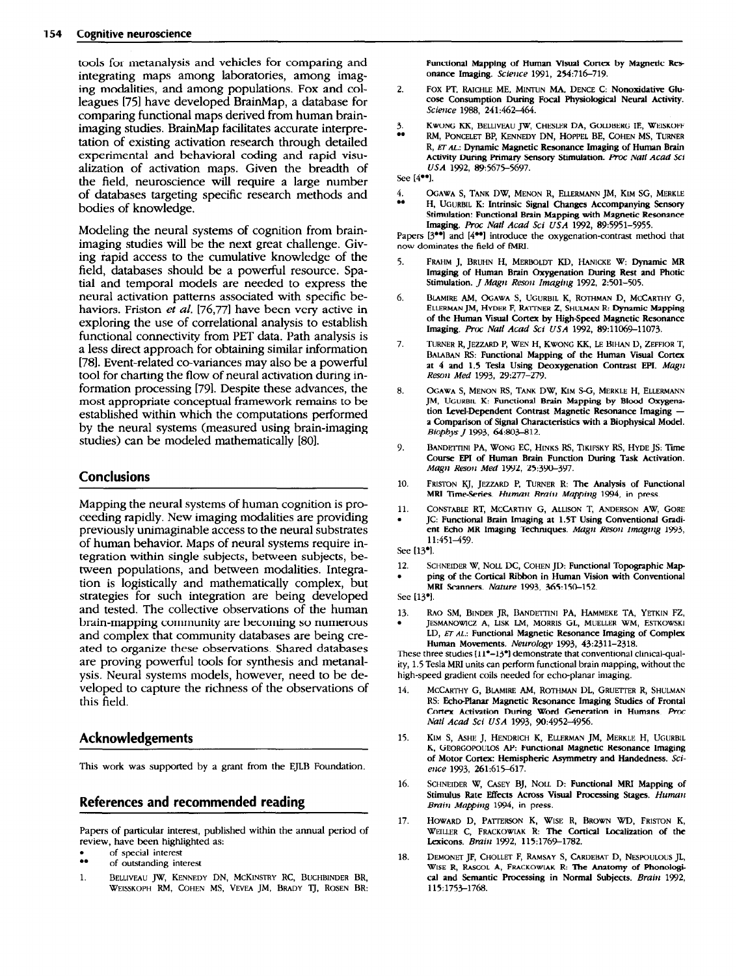tools for metanalysis and vehicles for comparing and integrating maps among laboratories, among imaging modalities, and among populations. Fox and colleagues [751 have developed BrainMap, a database for comparing functional maps derived from human brainimaging studies. BrainMap facilitates accurate interpretation of existing activation research through detailed experimental and behavioral coding and rapid visualization of activation maps. Given the breadth of the field, neuroscience will require a large number of databases targeting specific research methods and bodies of knowledge.

Modeling the neural systems of cognition from brainimaging studies will be the next great challenge. Giving rapid access to the cumulative knowledge of the field, databases should be a powerful resource. Spatial and temporal models are needed to express the neural activation patterns associated with specific behaviors. Friston *et al.* [76,77] have been very active in exploring the use of correlational analysis to establish functional connectivity from PET data. Path analysis is a less direct approach for obtaining similar information 1781. Event-related co-variances may also be a powerful tool for charting the flow of neural activation during information processing [791. Despite these advances, the most appropriate conceptual framework remains to be established within which the computations performed by the neural systems (measured using brain-imaging studies) can be modeled mathematically 1801.

## **Conclusions**

Mapping the neural systems of human cognition is proceeding rapidly. New imaging modalities are providing previously unimaginable access to the neural substrates of human behavior. Maps of neural systems require integration within single subjects, between subjects, between populations, and between modalities. Integration is logistically and mathematically complex, but strategies for such integration are being developed and tested. The collective observations of the human brain-mapping community are becoming so numerous and complex that community databases are being created to organize these observations. Shared databases are proving powerful tools for synthesis and metanalysis. Neural systems models, however, need to be developed to capture the richness of the observations of this field.

# **Acknowledgements 15.**

This work was supported by a grant from the EJLB Foundation.

## **References and recommended reading**

Papers of particular interest, published within the annual period of **review, have been highlighted as:** 

- **. of special interest**
- **. . of outstanding interest**
- 1. **BELLIVEAU JW, KENNEDY DN, MCKINSTRY RC, BUCHBINDER BR,** WEISSKOPH RM, COHEN MS, VEVEA JM, BRADY TJ, ROSEN BR:

Functional Mapping of Human Visual Cortex by Magnetic Res onance Imaging. Science 1991, 254:716-719.

- **2.**  FOX PT, RAICHLE ME, MINTUN MA, DENCE C: Nonoxidative Glu**cose** Consumption During Focal Physiological Neural Activity. *Science* 1988, 241:462-464.
- **KWONG KK, BELLIVEAU JW, CHESLER DA, GOLDBERG IE, WEISKOFF . . RM, PONCELET BP, KENNEDY DN, HOPPEL** BE, **COHEN MS, TURNER R, ET** *AL.:* Dynamic Magnetic Resonance Imaging of Human Brain Activity During Primary Sensory Stimulation. Proc NatI Acad *Sci USA* **1992, 89:567>5697.**

See [4<sup>\*\*</sup>].

**4. OGAWA** S, **TANK DW, MENON R, ELLERMANN** JM, KIM SG, MERKLE H, UGURBIL K: Intrinsic Signal Changes Accompanying Sensory Stimulation: Functional Brain Mapping with Magnetic Resonance Imaging. Proc *Nat1 Acad Sci USA 1992, 89~5951-5955.* 

Papers  $[3^{\bullet\bullet}]$  and  $[4^{\bullet\bullet}]$  introduce the oxygenation-contrast method that now dominates the field of fMRI.

- *5.*  FRAHM J, BRUHN H, MERBOLDT KD, HANICKE W: Dynamic MR Imaging of Human Brain Oxygenation During Rest and Photic Stimulation. *J Magn Reson Imaging* 1992, 2:501-505.
- *6.*  **BLAMIRE AM, OGAWA** S, **UGURBIL K, ROTHMAN D, MCCARTHY G, ELLERMAN** JM, **HYDER F, RAITNER 2, SHULMAN** R: Dynamic Mapping of the Human Visual Cortex by High-Speed Magnetic Resonance Imaging. Proc Natl Acad Sci *USA* 1992, 89:11069-11073.
- *7.*  TURNER R, JEZZARD P, WEN H, KWONG KK, LE BIHAN D, ZEFFIOR T, BALABAN RS: Functional Mapping of the Human Visual Cortex at 4 and 1.5 Tesla Using Deoxygenation Contrast EPI. Magn *Reson Med 1993, 29:277-279.*
- *8.*  **OGAWA S, MENON** RS, TANK DW, **KIM S-G, MERKLE H, ELLERMANN**  JM, **UGURBIL K: Functional Brain Mapping** by Blood Oxygenation Level-Dependent Contrast Magnetic Resonance Imaging a Comparison of Signal Characteristics with a Biophysical Model. *Biopbys J* 1993, 64:803-812.
- *9.*  BANDETTINI PA, WONG EC, HINKS RS, TIKIFSKY RS, HYDE JS: Time **Course** BP1 of Human Brain Function During Task Activation. *Magn Resort Med* 1992, 25390-397.
- **10.**  FRISTON KJ, JEZZARD P, TURNER R: The Analysis of Functional MRI Time-Series. *Human Brain Mapping* 1994, in pres.
- **11. . CONSTABLE RT, MCCARTHY G, ALLISON T, ANDERSON AW, GORE** JC: Functional Brain Imaging at 1.5T Using Conventional Gradient Echo MR Imaging Techniques. *Magrr Resou Imgiug 1993,*  **11:451-459.**

See [13<sup>°</sup>].

- **12. SCHNEIDER W, NOLL DC, COHEN** JD: Functional Topographic Map . ping of the Cortical Ribbon in Human Vision with Conventional **MIU Scanners.** *Nature* **1993, 365:15&152.**
- **see [134.**
- **13. RAO SM, BINDER** JR, **BANDEITINI** PA, **HAMMEKE** TA, **YETKIN** FZ, JESMANOWICZ A, LISK LM, MORRIS GL, MUELLER WM, ESTKOWSKI LD, ET AL.: Functional Magnetic Resonance Imaging of Complex Human Movements. Neurology 1993, 43:2311-2318.

These three studies [11<sup>e</sup>-13<sup>e</sup>] demonstrate that conventional clinical-qual**ity, 1.5 Tesla MIU units can perform functional brain mapping, without the high-speed gradient** coils needed **for echo-planar imaging.** 

- **14.**  MCCARTHY G, BLAMIRE AM, ROTHMAN DL, GRUETTER R, SHULMAN **RS:** EchePlanar Magnetic Resonance Imaging Studies of Frontal Cortex Activation During Word Generation in Humans. Proc *Narl Acad Sci USA 1993, 90~4952-4956.*
- **KIM S, ACHE** J, **HENDRICH K, ELLERMAN** JM, **MERKLE H, UGURBIL**  K, GEORGOPOULOS AP: Functional Magnetic Resonance Imaging of Motor Cortex: Hemispheric Asymmeuy and Handedness. *Science* 1993, 261:615–617.
- **16. SCHNEIDER** W, **CASEY** BJ, **NOLL D:** Functional MRI Mapping of Stimulus Rate Effects Across Visual Processing Stages. *Human Brain Mapping 1994,* in press.
- **17. HOWARD D, PA~RSON K, WISE R, BROWN WD, FRISTON K, WEILLER C, FRACKOWIAK** R: The Cordial Localization of the Lexicons. *Brain* 1992, 115:1769-1782.
- **18.**  DEMONET JF, CHOLLET F, RAMSAY S, CARDEBAT D, NESPOULOUS JL, WISE R, RASCOL A, FRACKOWIAK R: The Anatomy of Phonological and Semantic Processing in Normal Subjects. *Brain* 1992, *115:17531768.*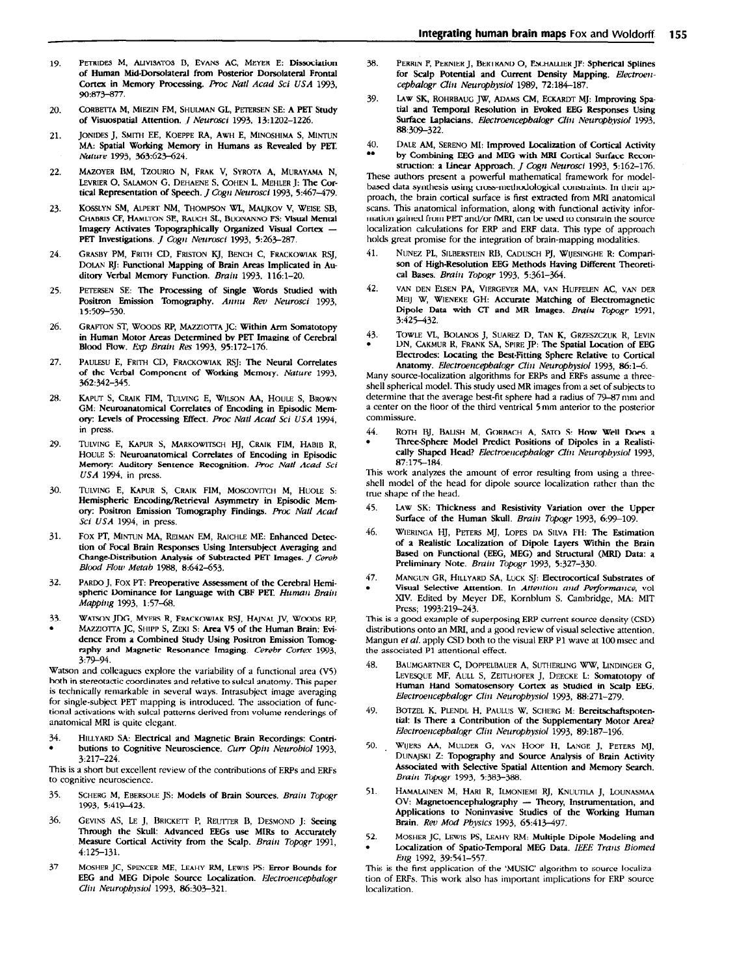- **19.**  PETRIDES M, ALIVISATOS B, EVANS AC, MEYER E: Dissociation of Human Mid-Dotsolatenl from Posterior Dorsolatetal Frontal Cortex in Memory Processing. Froc Nat1 *Acad Sci USA* **1993,**  90:873-877
- **20.**  CORBETTA M, MIEZIN FM, **SHULMAN** GL, PETERSEN SE: A PET Study of Visuospatial Attention. J **Neurosci 1993, 13:1202-1226.**
- **21. JONID=** J, SMITH EE, **KOEPPE RA, AWH E, MINOSHIMA S, MINTUN**  MA: Spatial Working Memory in Humans as Revealed by PET. *Nature* **1993, 363623-624.**
- **22. MAZOYER** BM, TZOURIO N, FRAK V, **SYROTA** A, **MURAYAMA N,**  LEVRIER O, SALAMON G, DEHAENE S, COHEN L, MEHLER J: The Cortical Representation of Speech. *J Cogri* Neurosci 1993, 51467-479.
- **23. KOSLYN SM, ALPERT NM, THOMPSON WI, MALJKOV V, WEISE SB, CHABRIS CF, HAMLTON SE, RAUCH SL, BUONANNO FS:** Visual Mental Imagery Activates Topographically Organized Visual Cortex -PET Investigations. *J Cogrr* Neurosci 1993, 5:263-287.
- **24. GRABBY** PM, FRITH CD, **FRISTON** KJ, **BENCH** *C,* **FRACKOWIAK** RSJ, **DOLAN** RJ: Functional Mapping of Brain Areas Implicated in Auditory Verbal Memory Function. *Eraiu* 1993, 116:1-20.
- **25. PETERSEN SE: The** Processing of Single Words Studied with Positron Emission Tomography. *Attrru Rev* Neurosci 1993, 15:509-530.
- **26.**  GRAFTON ST, WOODS RP, MAZZIOTTA JC: Within Arm Somatotopy in Human Motor Areas Determined by PET Imaging of Cerebral Blood Flow. Exp *Brain Res* 1993, 95:172-176.
- **27. PAULESU E, FRITH CD, FRACKOWIAK** RSJ: The Neural Correlates of the Verbal Component of Working Memory. Nature **1993, 362:342-345.**
- **28. KAPUT S, CRAIK FIM, TULVING E, WILSON AA, HOULE S, BROWN GM:** Neuroanatomical Correlates of Encoding in Episodic Memory: Levels of Processing Effect. Proc *Nat1 Acad Sci USA 1994,*  in press
- **29.**  TULVING E, KAPUR S, MARKOWITSCH HJ, CRAIK FIM, HABIB R, HOULE S: Neuroanatomical Correlates of Encoding in Episodic Memory: Auditory Sentence Recognition. Proc *Nat1 Acad Sci USA 1994,* in press.
- **30.**  TULVING E, KAPUR S, CRAIK FIM, MOSCOVITCH M, HUOLE S: Hemispheric Encoding/Retrieval Asymmetry in Episodic Memory: Positron Emission Tomogtaphy Findings. Proc *Nat1 Acad Sci USA 1994,* in press.
- **31.**  Fox PT, MINTUN MA, **REMAN** FM, **RAICHLE** ME: Enhanced Dctcction of Focal Brain Responses Using Intersubject Averaging and Change-Distribution Analysis of Subtracted PET Images. *J Cereb Blood Flow Metab 1988, 8:642-653.*
- **32. PARDO J, FOX PT: Preoperative** Assessment of the Cerebral Hemispheric Dominance for Language with CBF PET. *Human Brain Mappirtg 1993, 1~57-68.*
- **33. .**  WATSON JDG, **MYERS R, FRACKOWIAK RSJ, HAJNAL JV, WOODS RP,**  MAZZIOTTA JC, SHIPP S, ZEKI S: Area V5 of the Human Brain: Evidence From a Combined **Study** Using Positron Emission Tomography and Magnetic Resonance Imaging. Cerebr Cortex 1993, 3:7%94.

Watson and colleagues explore the variability of a functional area (V5) both in stereotactic coordinates and relative to sulcal anatomy. This paper is technically remarkable in several ways. Intrasubject image averaging **for single-subject** PET mapping is introduced. The association **of functional activations with sulcal patterns derived from** volume renderings of anatomical MRI is quite elegant.

34. **HILLYARD** SA: Electrical and Magnetic Brain Recordings: Contri butions to Cognitive Neuroscience. Curr Opin Neurobiol 1993, 3~217-224.

This is a short but excellent review of the contributions of ERPs and ERFs to cognitive neuroscience

- 35. **SCHERC M, EBER%XE JS:** Models of Brain Sources. **Brain** *Topogr*  **1993, 5:419-423.**
- 36. **GEVINS AS, LE J, BRICKETT P, REUTTER B, DESMOND J: Seeing** Through the Skull: Advanced EEGs use MIRs to Accurately Measure Cortical Activity from the Scalp. Brain Topogr 1991, 4:125-131.
- 37. MOSHER JC, SPENCER ME, LEAHY RM, LEWIS PS: Error Bounds for This is the first application of the 'MUSIC' algorithm to source localiza-<br> **EEG and MEG Dipole Source Localization**. *Electroencepbalogr* tion of ERFs. This Clin Neurophysiol 1993, 86:303-321. **and in the localization**.
- 3% PERRIN F, PERNIER J, BERTRAND O, ESCHALLIER JF: Spherical Splines for Scalp Potential and Current Density Mapping. *Electroencephalogr* C&r *Neuropbvsiol* **1989, 72:184-187.**
- **39. LAW** SK, **ROHRBAUG JW, ADAMS CM, ECKARDT** MJ: Improving Spatial and Temporal Resolution in Evoked ERG Responses Using Surface Laplacians. Electroencephalogr Clin Neurophysiol 1993, E&309-322.
- 40. **DALE AM, SERENO** MI: Improved Localization of Cortical Activity by Combining EEG and MEG with MRI Cortical Surface Recon-

struction: a Linear Approach. *J Cogn Neurosci* 1993, 5:162-176. These authors present a powerful mathematical framework for modelbased data synthesis using cross-methodological constraints. In their approach, the brain cortical surface is first extracted from MRI anatomical scans. This anatomical information, along with functional activity information gained from PET and/or fMRI, can be used to constrain the source localization calculations for **ERP** and **ERF** data. This type of approach holds great promise for the integration of brain-mapping modalities.

- 41. **NUNEZ** PL, SILBERSTEIN RI), CADUSCH PJ, **WIJESINGHE R: Compari**son of High-Resolution EEG Methods Having Different Theoretical Bases. *Brain Topogr* **1993, 5:361-364.**
- **42.** VAN DEN ELSEN PA, **VIERGEVER MA, VAN HUFFELEN AC, VAN DER MEIJ W, WIENEKE GH:** Accurate Matching of Electromagnetic Dipole Data with CT and MR Images. *Brain Topogr* 1991, 3:425-432.
- 43. TOWLE VL, BOLANOS J, SUAREZ D, TAN K, GRZESZCZUK R, LEVIN **.** DN, **CAKMUR R, FRANK SA, SPIRE** JP: The Spatial Location of EEG Electrodes: Locating the Best-Fitting Sphere Relative to Cortical Anatomy. *Ekctroerzcephalogr Clint Neuropbysiol 1993,* 86:1-6,.

Many source-localization algorithms for ERPs and ERFs assume a threeshell spherical model. This study **used** MR images from a set of subjects to determine that the average best-fit sphere had a radius of 79-87 nnn and a center on the floor of the third ventrical 5 mm anterior to the posterior commissure.

44. **ROTH BJ, BALISH M, GORBACH** A, SATO S: How Well Does a . Three-Sphere Model Predict Positions of Dipoles in a Realistically Shaped Head? *Electroencephalogr Clin Neurophysiol* 1993, 87:175-184.

This work analyzes the amount of error resulting from using a threeshell model of the head for dipole source localization rather than the true shape of the head.

- 45. LAW SK: Thickness and Resistivity Variation over the Upper Surface of the Human Skull. *Brain Topogr* 1993, 6:99-109.
- *46.* **WIERINGA** HJ, PETERS MJ, **LOPES DA SILVA** FH: The Estimation of a Realistic Localization of Dipole Iayers Within the Brain Based on Functional (EEG, MEG) and Structural (MRI) Data: a Preliminary Note. *Brain Topogr 1993, 5:327-330.*
- 47. MANGUN GR, HILLYARD SA, LUCK SJ: Electrocortical Substrates of . Visual Selective Attention. In *Atteutiou aud Paformauce, vol*  XIV. Edited by Meyer DE, Kornblum S. Cambridge, MA: MIT Press, 1993:219-243.

This is a good example of superposing ERP current source density (CSD) distributions onto an MRI, and a good review of visual selective attention. Mangun *et al.* apply CSD both to the visual ERP Pl wave **at 100 msec and the associated** Pl attentional effect.

- 48. **BAUMGARTNER C, DOPPELBAUER A, SUTHERLING WW, LINDINGER G,** LEVESQUE MF, AULL S, ZEITLHOFER J, DEECKE L: Somatotopy of Human Hand Somatosensory Cortex as Studied in Scalp EEG. Electroencepbalogr Clin Neurophysiol 1993, 88:271-279.
- 49. **BOTZEL K, PLENDL H, PAULUS W, SCHERG M:** Bereitschaftspotential: Is There a Contribution of the Supplementary Motor Area? *Electroencephalogr Clin Neurophysiol 1993, 89:187-196.*
- 50. **WIJERS AA, MULDER G, VAN Hook H, LANGE J, PETERS** MJ, **DUNAJSKI Z:** Topography and Source Analysis of Brain Activity Associated with Selective Spatial Attention and Memory Search. *Brahr Topogr 1993,* 5:383-388.
- 51. **HAMALAINEN M, HARI R, ILMONIEMI RJ, KNUUTILA J, LOUNASMAA** OV: Magnetoencephalography - Theory, Instrumentation, and Applications **to Noninvasive Studies of the Working Human Brain.** *Rev Mod Physics* 1993, 65:413-497.
- **52.** MOSHER JC, LEWIS PS, LEAHY RM: Multiple Dipole Modeling and Localization of Spatio-Temporal MEG Data. IEEE Traus Biomed *Eng 1992, 39:541-557.*

tion of ERFs. This work also has important implications for ERP source